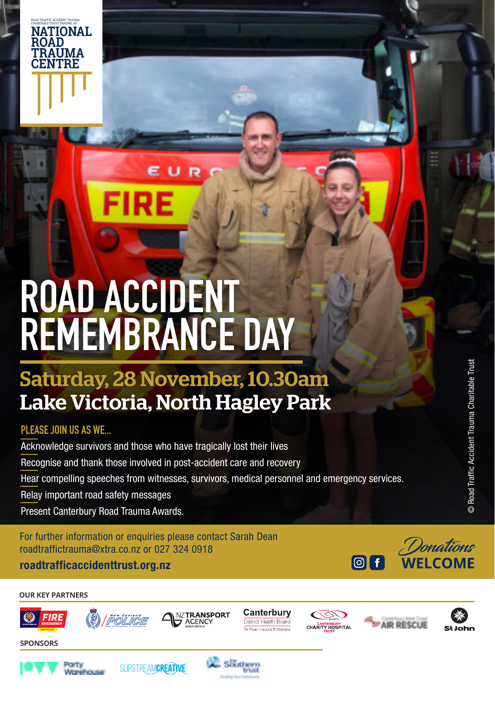

## Saturday, 28 November, 10.30am Lake Victoria, North Hagley Park

### **PLEASE JOIN US AS WE...**

**NATIONAL ROAD TRAUMA CENTRE**

ROAD TRAFFIC ACCIDENT TRAUMA

Acknowledge survivors and those who have tragically lost their lives Recognise and thank those involved in post-accident care and recovery Hear compelling speeches from witnesses, survivors, medical personnel and emergency services. Relay important road safety messages Present Canterbury Road Trauma Awards.

For further information or enquiries please contact Sarah Dean roadtraffictrauma@xtra.co.nz or 027 324 0918

**roadtrafficaccidenttrust.org.nz**



**OUR KEY PARTNERS**







Southern









© Road Traffic Accident Trauma Charitable Trust

 $\odot$ 

Road Traffic Accident Trauma Charitable Trust

**SPONSORS**